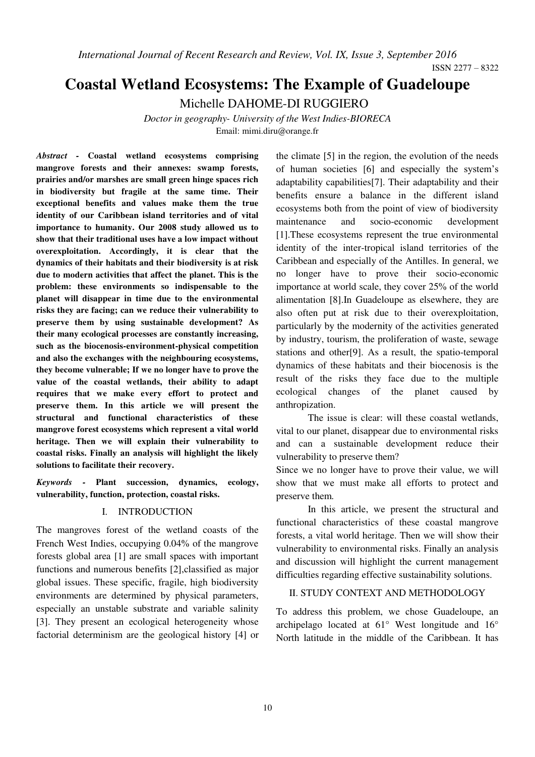# **Coastal Wetland Ecosystems: The Example of Guadeloupe**

Michelle DAHOME-DI RUGGIERO

*Doctor in geography- University of the West Indies-BIORECA*  Email: mimi.diru@orange.fr

*Abstract -* **Coastal wetland ecosystems comprising mangrove forests and their annexes: swamp forests, prairies and/or marshes are small green hinge spaces rich in biodiversity but fragile at the same time. Their exceptional benefits and values make them the true identity of our Caribbean island territories and of vital importance to humanity. Our 2008 study allowed us to show that their traditional uses have a low impact without overexploitation. Accordingly, it is clear that the dynamics of their habitats and their biodiversity is at risk due to modern activities that affect the planet. This is the problem: these environments so indispensable to the planet will disappear in time due to the environmental risks they are facing; can we reduce their vulnerability to preserve them by using sustainable development? As their many ecological processes are constantly increasing, such as the biocenosis-environment-physical competition and also the exchanges with the neighbouring ecosystems, they become vulnerable; If we no longer have to prove the value of the coastal wetlands, their ability to adapt requires that we make every effort to protect and preserve them. In this article we will present the structural and functional characteristics of these mangrove forest ecosystems which represent a vital world heritage. Then we will explain their vulnerability to coastal risks. Finally an analysis will highlight the likely solutions to facilitate their recovery.** 

*Keywords -* **Plant succession, dynamics, ecology, vulnerability, function, protection, coastal risks.** 

#### I. INTRODUCTION

The mangroves forest of the wetland coasts of the French West Indies, occupying 0.04% of the mangrove forests global area [1] are small spaces with important functions and numerous benefits [2],classified as major global issues. These specific, fragile, high biodiversity environments are determined by physical parameters, especially an unstable substrate and variable salinity [3]. They present an ecological heterogeneity whose factorial determinism are the geological history [4] or the climate [5] in the region, the evolution of the needs of human societies [6] and especially the system's adaptability capabilities[7]. Their adaptability and their benefits ensure a balance in the different island ecosystems both from the point of view of biodiversity maintenance and socio-economic development [1].These ecosystems represent the true environmental identity of the inter-tropical island territories of the Caribbean and especially of the Antilles. In general, we no longer have to prove their socio-economic importance at world scale, they cover 25% of the world alimentation [8].In Guadeloupe as elsewhere, they are also often put at risk due to their overexploitation, particularly by the modernity of the activities generated by industry, tourism, the proliferation of waste, sewage stations and other[9]. As a result, the spatio-temporal dynamics of these habitats and their biocenosis is the result of the risks they face due to the multiple ecological changes of the planet caused by anthropization.

The issue is clear: will these coastal wetlands, vital to our planet, disappear due to environmental risks and can a sustainable development reduce their vulnerability to preserve them?

Since we no longer have to prove their value, we will show that we must make all efforts to protect and preserve them*.* 

In this article, we present the structural and functional characteristics of these coastal mangrove forests, a vital world heritage. Then we will show their vulnerability to environmental risks. Finally an analysis and discussion will highlight the current management difficulties regarding effective sustainability solutions.

#### II. STUDY CONTEXT AND METHODOLOGY

To address this problem, we chose Guadeloupe, an archipelago located at 61° West longitude and 16° North latitude in the middle of the Caribbean. It has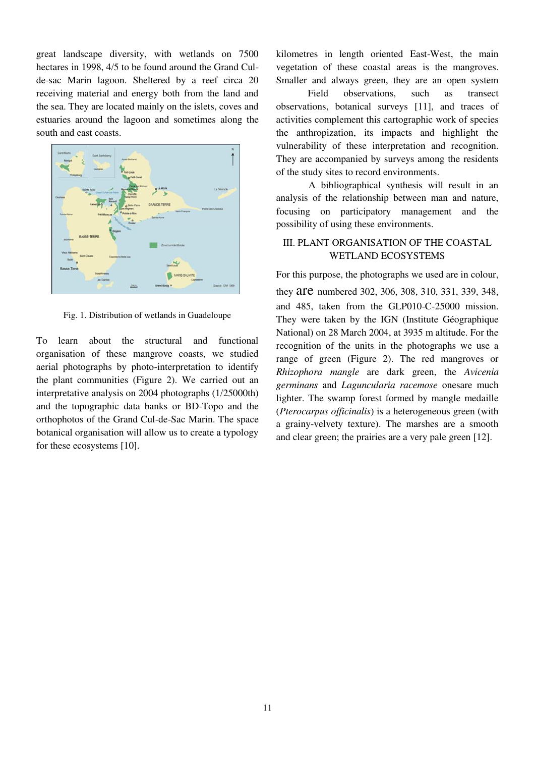great landscape diversity, with wetlands on 7500 hectares in 1998, 4/5 to be found around the Grand Culde-sac Marin lagoon. Sheltered by a reef circa 20 receiving material and energy both from the land and the sea. They are located mainly on the islets, coves and estuaries around the lagoon and sometimes along the south and east coasts.



Fig. 1. Distribution of wetlands in Guadeloupe

To learn about the structural and functional organisation of these mangrove coasts, we studied aerial photographs by photo-interpretation to identify the plant communities (Figure 2). We carried out an interpretative analysis on 2004 photographs (1/25000th) and the topographic data banks or BD-Topo and the orthophotos of the Grand Cul-de-Sac Marin. The space botanical organisation will allow us to create a typology for these ecosystems [10].

kilometres in length oriented East-West, the main vegetation of these coastal areas is the mangroves. Smaller and always green, they are an open system

Field observations, such as transect observations, botanical surveys [11], and traces of activities complement this cartographic work of species the anthropization, its impacts and highlight the vulnerability of these interpretation and recognition. They are accompanied by surveys among the residents of the study sites to record environments.

A bibliographical synthesis will result in an analysis of the relationship between man and nature, focusing on participatory management and the possibility of using these environments.

## III. PLANT ORGANISATION OF THE COASTAL WETLAND ECOSYSTEMS

For this purpose, the photographs we used are in colour, they **are** numbered 302, 306, 308, 310, 331, 339, 348, and 485, taken from the GLP010-C-25000 mission. They were taken by the IGN (Institute Géographique National) on 28 March 2004, at 3935 m altitude. For the recognition of the units in the photographs we use a range of green (Figure 2). The red mangroves or *Rhizophora mangle* are dark green, the *Avicenia germinans* and *Laguncularia racemose* onesare much lighter. The swamp forest formed by mangle medaille (*Pterocarpus officinalis*) is a heterogeneous green (with a grainy-velvety texture). The marshes are a smooth and clear green; the prairies are a very pale green [12].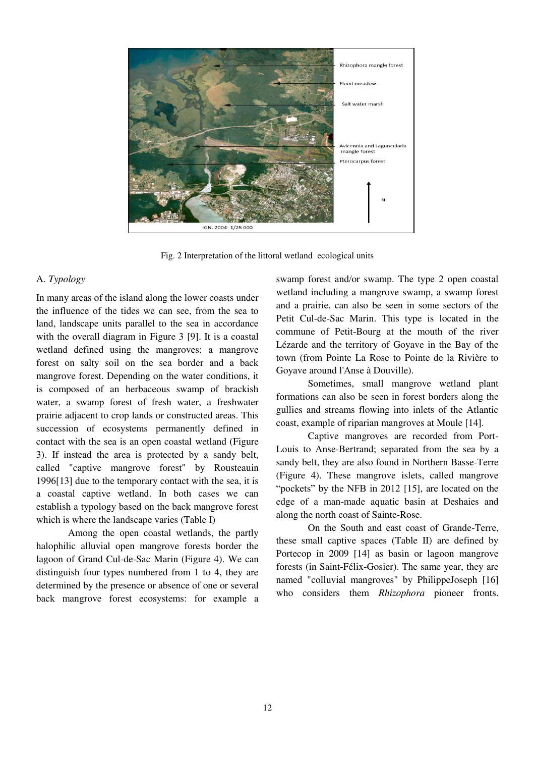

Fig. 2 Interpretation of the littoral wetland ecological units

#### A. *Typology*

In many areas of the island along the lower coasts under the influence of the tides we can see, from the sea to land, landscape units parallel to the sea in accordance with the overall diagram in Figure 3 [9]. It is a coastal wetland defined using the mangroves: a mangrove forest on salty soil on the sea border and a back mangrove forest. Depending on the water conditions, it is composed of an herbaceous swamp of brackish water, a swamp forest of fresh water, a freshwater prairie adjacent to crop lands or constructed areas. This succession of ecosystems permanently defined in contact with the sea is an open coastal wetland (Figure 3). If instead the area is protected by a sandy belt, called "captive mangrove forest" by Rousteauin 1996[13] due to the temporary contact with the sea, it is a coastal captive wetland. In both cases we can establish a typology based on the back mangrove forest which is where the landscape varies (Table I)

Among the open coastal wetlands, the partly halophilic alluvial open mangrove forests border the lagoon of Grand Cul-de-Sac Marin (Figure 4). We can distinguish four types numbered from 1 to 4, they are determined by the presence or absence of one or several back mangrove forest ecosystems: for example a

swamp forest and/or swamp. The type 2 open coastal wetland including a mangrove swamp, a swamp forest and a prairie, can also be seen in some sectors of the Petit Cul-de-Sac Marin. This type is located in the commune of Petit-Bourg at the mouth of the river Lézarde and the territory of Goyave in the Bay of the town (from Pointe La Rose to Pointe de la Rivière to Goyave around l'Anse à Douville).

Sometimes, small mangrove wetland plant formations can also be seen in forest borders along the gullies and streams flowing into inlets of the Atlantic coast, example of riparian mangroves at Moule [14].

Captive mangroves are recorded from Port-Louis to Anse-Bertrand; separated from the sea by a sandy belt, they are also found in Northern Basse-Terre (Figure 4). These mangrove islets, called mangrove "pockets" by the NFB in 2012 [15], are located on the edge of a man-made aquatic basin at Deshaies and along the north coast of Sainte-Rose.

On the South and east coast of Grande-Terre, these small captive spaces (Table II) are defined by Portecop in 2009 [14] as basin or lagoon mangrove forests (in Saint-Félix-Gosier). The same year, they are named "colluvial mangroves" by PhilippeJoseph [16] who considers them *Rhizophora* pioneer fronts.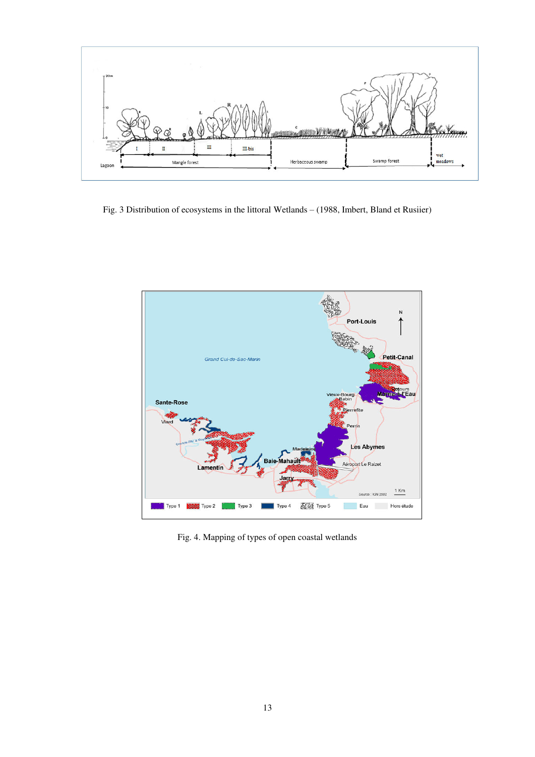

Fig. 3 Distribution of ecosystems in the littoral Wetlands – (1988, Imbert, Bland et Rusiier)



Fig. 4. Mapping of types of open coastal wetlands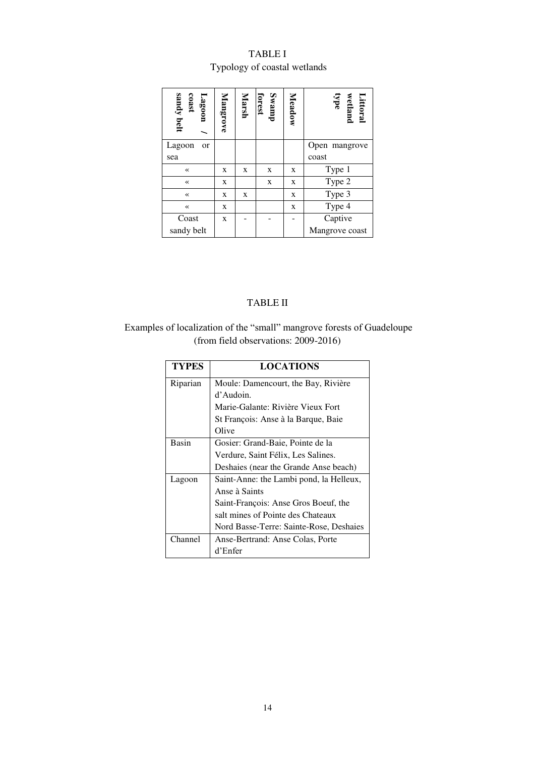## TABLE I Typology of coastal wetlands

| sandy belt<br>Lagoon<br>coast | Mangrove | Marsh | Swamp<br>forest | Meadow | Littoral<br>wetland<br>type |
|-------------------------------|----------|-------|-----------------|--------|-----------------------------|
| Lagoon<br>or                  |          |       |                 |        | Open mangrove               |
| sea                           |          |       |                 |        | coast                       |
| $\ll$                         | X        | X     | X               | X      | Type 1                      |
| $\ll$                         | X        |       | X               | X      | Type 2                      |
| $\ll$                         | X        | X     |                 | X      | Type 3                      |
| $\ll$                         | X        |       |                 | X      | Type 4                      |
| Coast                         | X        |       |                 |        | Captive                     |
| sandy belt                    |          |       |                 |        | Mangrove coast              |

## TABLE II

## Examples of localization of the "small" mangrove forests of Guadeloupe (from field observations: 2009-2016)

| <b>TYPES</b> | <b>LOCATIONS</b>                        |
|--------------|-----------------------------------------|
| Riparian     | Moule: Damencourt, the Bay, Rivière     |
|              | d'Audoin.                               |
|              | Marie-Galante: Rivière Vieux Fort       |
|              | St François: Anse à la Barque, Baie     |
|              | Olive                                   |
| <b>Basin</b> | Gosier: Grand-Baie, Pointe de la        |
|              | Verdure, Saint Félix, Les Salines.      |
|              | Deshaies (near the Grande Anse beach)   |
| Lagoon       | Saint-Anne: the Lambi pond, la Helleux, |
|              | Anse à Saints                           |
|              | Saint-François: Anse Gros Boeuf, the    |
|              | salt mines of Pointe des Chateaux       |
|              | Nord Basse-Terre: Sainte-Rose, Deshaies |
| Channel      | Anse-Bertrand: Anse Colas, Porte        |
|              | d'Enfer                                 |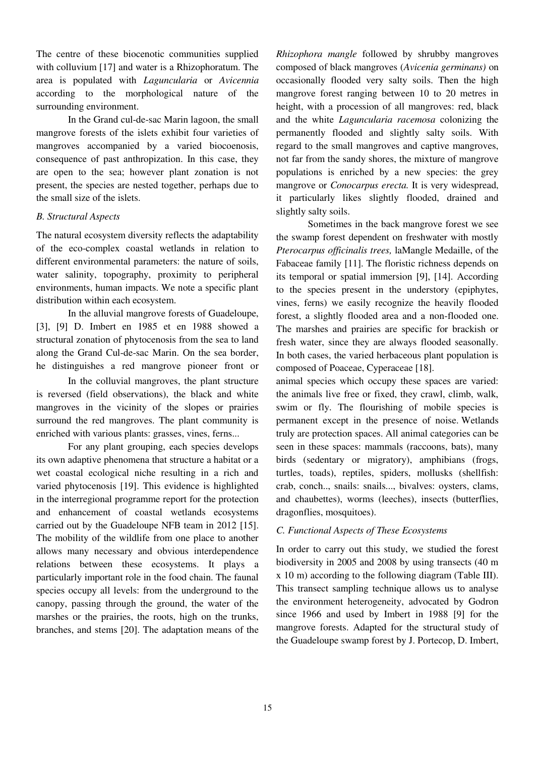The centre of these biocenotic communities supplied with colluvium [17] and water is a Rhizophoratum. The area is populated with *Laguncularia* or *Avicennia* according to the morphological nature of the surrounding environment.

In the Grand cul-de-sac Marin lagoon, the small mangrove forests of the islets exhibit four varieties of mangroves accompanied by a varied biocoenosis, consequence of past anthropization. In this case, they are open to the sea; however plant zonation is not present, the species are nested together, perhaps due to the small size of the islets.

## *B. Structural Aspects*

The natural ecosystem diversity reflects the adaptability of the eco-complex coastal wetlands in relation to different environmental parameters: the nature of soils, water salinity, topography, proximity to peripheral environments, human impacts. We note a specific plant distribution within each ecosystem.

In the alluvial mangrove forests of Guadeloupe, [3], [9] D. Imbert en 1985 et en 1988 showed a structural zonation of phytocenosis from the sea to land along the Grand Cul-de-sac Marin. On the sea border, he distinguishes a red mangrove pioneer front or

In the colluvial mangroves, the plant structure is reversed (field observations), the black and white mangroves in the vicinity of the slopes or prairies surround the red mangroves. The plant community is enriched with various plants: grasses, vines, ferns...

For any plant grouping, each species develops its own adaptive phenomena that structure a habitat or a wet coastal ecological niche resulting in a rich and varied phytocenosis [19]. This evidence is highlighted in the interregional programme report for the protection and enhancement of coastal wetlands ecosystems carried out by the Guadeloupe NFB team in 2012 [15]. The mobility of the wildlife from one place to another allows many necessary and obvious interdependence relations between these ecosystems. It plays a particularly important role in the food chain. The faunal species occupy all levels: from the underground to the canopy, passing through the ground, the water of the marshes or the prairies, the roots, high on the trunks, branches, and stems [20]. The adaptation means of the

*Rhizophora mangle* followed by shrubby mangroves composed of black mangroves (*Avicenia germinans)* on occasionally flooded very salty soils. Then the high mangrove forest ranging between 10 to 20 metres in height, with a procession of all mangroves: red, black and the white *Laguncularia racemosa* colonizing the permanently flooded and slightly salty soils. With regard to the small mangroves and captive mangroves, not far from the sandy shores, the mixture of mangrove populations is enriched by a new species: the grey mangrove or *Conocarpus erecta.* It is very widespread, it particularly likes slightly flooded, drained and slightly salty soils.

Sometimes in the back mangrove forest we see the swamp forest dependent on freshwater with mostly *Pterocarpus officinalis trees,* laMangle Medaille, of the Fabaceae family [11]. The floristic richness depends on its temporal or spatial immersion [9], [14]. According to the species present in the understory (epiphytes, vines, ferns) we easily recognize the heavily flooded forest, a slightly flooded area and a non-flooded one. The marshes and prairies are specific for brackish or fresh water, since they are always flooded seasonally. In both cases, the varied herbaceous plant population is composed of Poaceae, Cyperaceae [18].

animal species which occupy these spaces are varied: the animals live free or fixed, they crawl, climb, walk, swim or fly. The flourishing of mobile species is permanent except in the presence of noise. Wetlands truly are protection spaces. All animal categories can be seen in these spaces: mammals (raccoons, bats), many birds (sedentary or migratory), amphibians (frogs, turtles, toads), reptiles, spiders, mollusks (shellfish: crab, conch.., snails: snails..., bivalves: oysters, clams, and chaubettes), worms (leeches), insects (butterflies, dragonflies, mosquitoes).

## *C. Functional Aspects of These Ecosystems*

In order to carry out this study, we studied the forest biodiversity in 2005 and 2008 by using transects (40 m x 10 m) according to the following diagram (Table III). This transect sampling technique allows us to analyse the environment heterogeneity, advocated by Godron since 1966 and used by Imbert in 1988 [9] for the mangrove forests. Adapted for the structural study of the Guadeloupe swamp forest by J. Portecop, D. Imbert,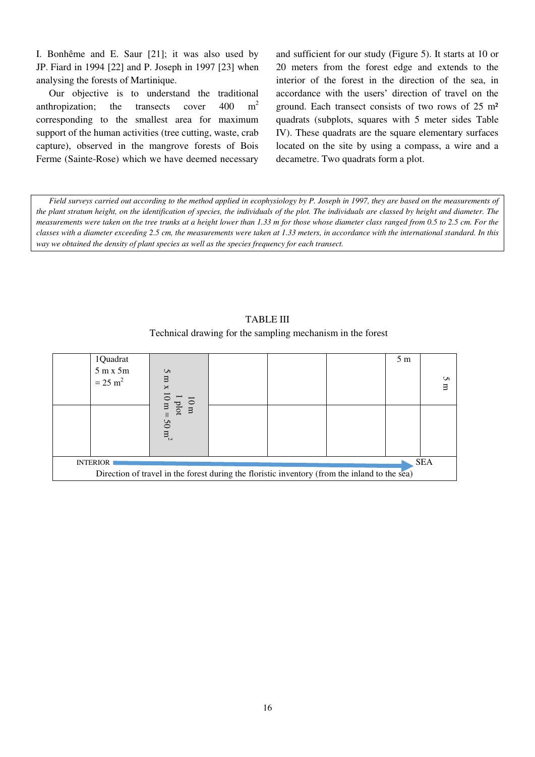I. Bonhême and E. Saur [21]; it was also used by JP. Fiard in 1994 [22] and P. Joseph in 1997 [23] when analysing the forests of Martinique.

Our objective is to understand the traditional anthropization; the transects cover  $400 \text{ m}^2$ corresponding to the smallest area for maximum support of the human activities (tree cutting, waste, crab capture), observed in the mangrove forests of Bois Ferme (Sainte-Rose) which we have deemed necessary and sufficient for our study (Figure 5). It starts at 10 or 20 meters from the forest edge and extends to the interior of the forest in the direction of the sea, in accordance with the users' direction of travel on the ground. Each transect consists of two rows of 25 m² quadrats (subplots, squares with 5 meter sides Table IV). These quadrats are the square elementary surfaces located on the site by using a compass, a wire and a decametre. Two quadrats form a plot.

*Field surveys carried out according to the method applied in ecophysiology by P. Joseph in 1997, they are based on the measurements of the plant stratum height, on the identification of species, the individuals of the plot. The individuals are classed by height and diameter. The measurements were taken on the tree trunks at a height lower than 1.33 m for those whose diameter class ranged from 0.5 to 2.5 cm. For the classes with a diameter exceeding 2.5 cm, the measurements were taken at 1.33 meters, in accordance with the international standard. In this way we obtained the density of plant species as well as the species frequency for each transect.* 

TABLE III Technical drawing for the sampling mechanism in the forest

|                                                                                               | 1Quadrat           |                                 |  |  |  | 5 <sub>m</sub> |             |
|-----------------------------------------------------------------------------------------------|--------------------|---------------------------------|--|--|--|----------------|-------------|
|                                                                                               | 5m x 5m            | S                               |  |  |  |                |             |
|                                                                                               | $= 25 \text{ m}^2$ | Ξ<br>×                          |  |  |  |                | S<br>$\Box$ |
|                                                                                               |                    |                                 |  |  |  |                |             |
|                                                                                               |                    | $10 \text{ m}$<br>plot<br>$\Xi$ |  |  |  |                |             |
|                                                                                               |                    | $\mathcal{S}$                   |  |  |  |                |             |
|                                                                                               |                    | m <sub>2</sub>                  |  |  |  |                |             |
|                                                                                               |                    |                                 |  |  |  |                |             |
| <b>SEA</b><br><b>INTERIOR</b>                                                                 |                    |                                 |  |  |  |                |             |
| Direction of travel in the forest during the floristic inventory (from the inland to the sea) |                    |                                 |  |  |  |                |             |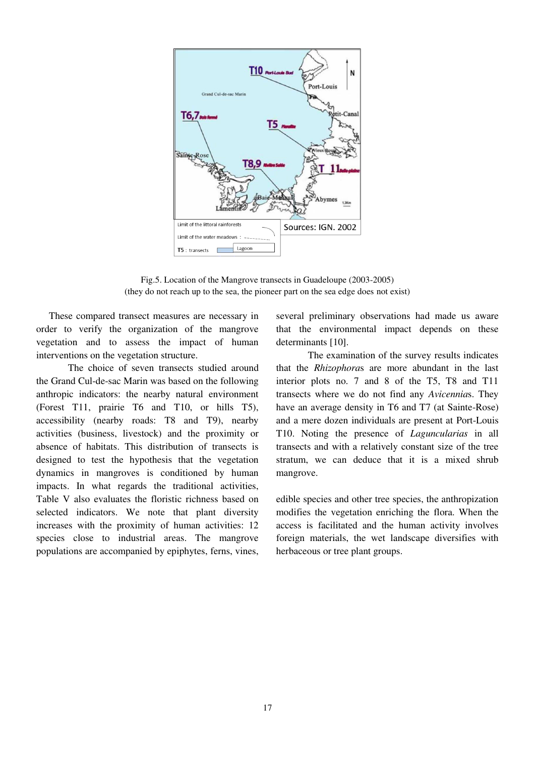

Fig.5. Location of the Mangrove transects in Guadeloupe (2003-2005) (they do not reach up to the sea, the pioneer part on the sea edge does not exist)

These compared transect measures are necessary in order to verify the organization of the mangrove vegetation and to assess the impact of human interventions on the vegetation structure.

The choice of seven transects studied around the Grand Cul-de-sac Marin was based on the following anthropic indicators: the nearby natural environment (Forest T11, prairie T6 and T10, or hills T5), accessibility (nearby roads: T8 and T9), nearby activities (business, livestock) and the proximity or absence of habitats. This distribution of transects is designed to test the hypothesis that the vegetation dynamics in mangroves is conditioned by human impacts. In what regards the traditional activities, Table V also evaluates the floristic richness based on selected indicators. We note that plant diversity increases with the proximity of human activities: 12 species close to industrial areas. The mangrove populations are accompanied by epiphytes, ferns, vines,

several preliminary observations had made us aware that the environmental impact depends on these determinants [10].

The examination of the survey results indicates that the *Rhizophora*s are more abundant in the last interior plots no. 7 and 8 of the T5, T8 and T11 transects where we do not find any *Avicennia*s. They have an average density in T6 and T7 (at Sainte-Rose) and a mere dozen individuals are present at Port-Louis T10. Noting the presence of *Laguncularias* in all transects and with a relatively constant size of the tree stratum, we can deduce that it is a mixed shrub mangrove.

edible species and other tree species, the anthropization modifies the vegetation enriching the flora. When the access is facilitated and the human activity involves foreign materials, the wet landscape diversifies with herbaceous or tree plant groups.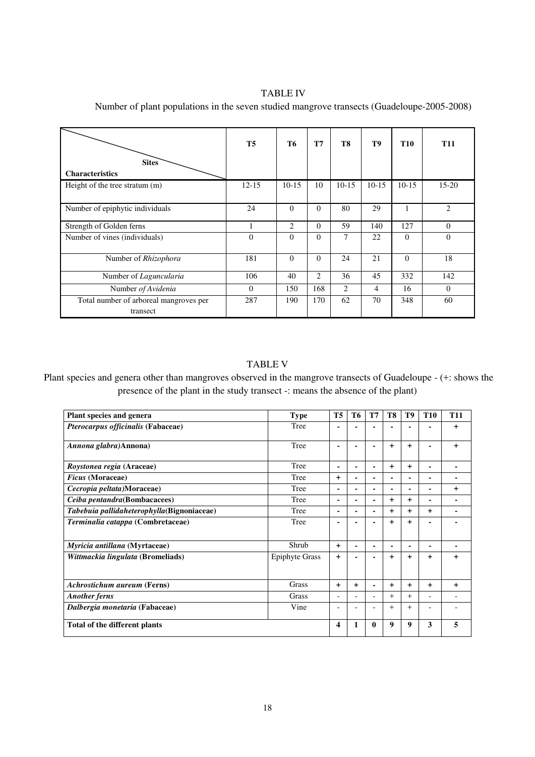## TABLE IV

 **Sites Characteristics T5 T6 T7 T8 T9 T10 T11**  Height of the tree stratum (m) 12-15 10-15 10-15 10-15 10-15 10-15 15-20 Number of epiphytic individuals 24 0 0 80 29 1 2 Strength of Golden ferns 1 2 0 59 140 127 0 Number of vines (individuals) 0 0 0 7 22 0 0 Number of *Rhizophora* 181 0 0 24 21 0 18 Number of *Laguncularia* 106 40 2 36 45 332 142 Number *of Avidenia* 1 0 150 168 2 4 16 0 Total number of arboreal mangroves per transect 287 | 190 | 170 | 62 | 70 | 348 | 60

Number of plant populations in the seven studied mangrove transects (Guadeloupe-2005-2008)

## TABLE V

 Plant species and genera other than mangroves observed in the mangrove transects of Guadeloupe - (+: shows the presence of the plant in the study transect -: means the absence of the plant)

| Plant species and genera                   | <b>Type</b>           | <b>T5</b>               | T6  | T7 | T8        | T9        | <b>T10</b> | <b>T11</b> |
|--------------------------------------------|-----------------------|-------------------------|-----|----|-----------|-----------|------------|------------|
| Pterocarpus officinalis (Fabaceae)         | Tree                  |                         |     |    |           |           |            | $\ddot{}$  |
| Annona glabra)Annona)                      | Tree                  |                         |     |    | $+$       | +         |            | $\ddot{}$  |
| Roystonea regia (Araceae)                  | Tree                  | ۰                       |     |    | $+$       | $\ddot{}$ |            |            |
| <b>Ficus</b> (Moraceae)                    | Tree                  | $\ddot{}$               |     |    | ۰         |           |            |            |
| Cecropia peltata)Moraceae)                 | Tree                  | ۰                       | ٠   |    | ۰         | ۰         | ۰          | $\ddot{}$  |
| Ceiba pentandra(Bombacacees)               | Tree                  | -                       | ٠   |    | $\ddot{}$ | $\ddot{}$ | ۰          |            |
| Tabebuia pallidaheterophylla(Bignoniaceae) | Tree                  | ٠                       |     |    | $\ddot{}$ | $\ddot{}$ | $\ddot{}$  |            |
| Terminalia catappa (Combretaceae)          | Tree                  |                         |     |    | $+$       | +         |            |            |
| Myricia antillana (Myrtaceae)              | Shrub                 | $\ddot{}$               | ٠   |    | ۰         | ۰         | -          |            |
| Wittmackia lingulata (Bromeliads)          | <b>Epiphyte Grass</b> | $\ddot{}$               |     |    | $\ddot{}$ | $\ddot{}$ | $\ddot{}$  | $\ddot{}$  |
| <b>Achrostichum aureum (Ferns)</b>         | Grass                 | $\ddot{}$               | $+$ |    | $\ddot{}$ | $+$       | $\ddot{}$  | $\ddot{}$  |
| <b>Another ferms</b>                       | Grass                 | -                       | ٠   |    | $+$       | $+$       | -          |            |
| Dalbergia monetaria (Fabaceae)             | Vine                  | ۰                       |     |    | $+$       | $+$       | ۰          |            |
| Total of the different plants              |                       | $\overline{\mathbf{4}}$ |     | 0  | 9         | 9         | 3          | 5          |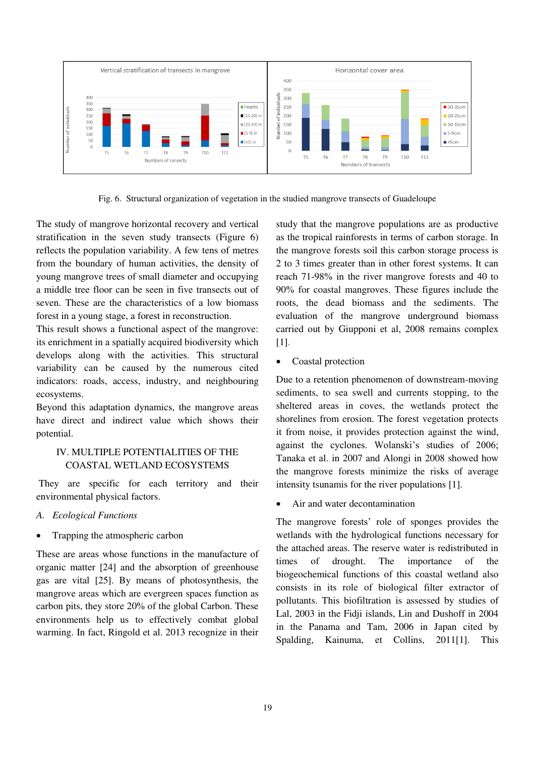

Fig. 6. Structural organization of vegetation in the studied mangrove transects of Guadeloupe

The study of mangrove horizontal recovery and vertical stratification in the seven study transects (Figure 6) reflects the population variability. A few tens of metres from the boundary of human activities, the density of young mangrove trees of small diameter and occupying a middle tree floor can be seen in five transects out of seven. These are the characteristics of a low biomass forest in a young stage, a forest in reconstruction.

This result shows a functional aspect of the mangrove: its enrichment in a spatially acquired biodiversity which develops along with the activities. This structural variability can be caused by the numerous cited indicators: roads, access, industry, and neighbouring ecosystems.

Beyond this adaptation dynamics, the mangrove areas have direct and indirect value which shows their potential.

## IV. MULTIPLE POTENTIALITIES OF THE COASTAL WETLAND ECOSYSTEMS

 They are specific for each territory and their environmental physical factors.

- *A. Ecological Functions*
- Trapping the atmospheric carbon

These are areas whose functions in the manufacture of organic matter [24] and the absorption of greenhouse gas are vital [25]. By means of photosynthesis, the mangrove areas which are evergreen spaces function as carbon pits, they store 20% of the global Carbon. These environments help us to effectively combat global warming. In fact, Ringold et al. 2013 recognize in their study that the mangrove populations are as productive as the tropical rainforests in terms of carbon storage. In the mangrove forests soil this carbon storage process is 2 to 3 times greater than in other forest systems. It can reach 71-98% in the river mangrove forests and 40 to 90% for coastal mangroves. These figures include the roots, the dead biomass and the sediments. The evaluation of the mangrove underground biomass carried out by Giupponi et al, 2008 remains complex [1].

• Coastal protection

Due to a retention phenomenon of downstream-moving sediments, to sea swell and currents stopping, to the sheltered areas in coves, the wetlands protect the shorelines from erosion. The forest vegetation protects it from noise, it provides protection against the wind, against the cyclones. Wolanski's studies of 2006; Tanaka et al. in 2007 and Alongi in 2008 showed how the mangrove forests minimize the risks of average intensity tsunamis for the river populations [1].

Air and water decontamination

The mangrove forests' role of sponges provides the wetlands with the hydrological functions necessary for the attached areas. The reserve water is redistributed in times of drought. The importance of the biogeochemical functions of this coastal wetland also consists in its role of biological filter extractor of pollutants. This biofiltration is assessed by studies of Lal, 2003 in the Fidji islands, Lin and Dushoff in 2004 in the Panama and Tam, 2006 in Japan cited by Spalding, Kainuma, et Collins, 2011[1]. This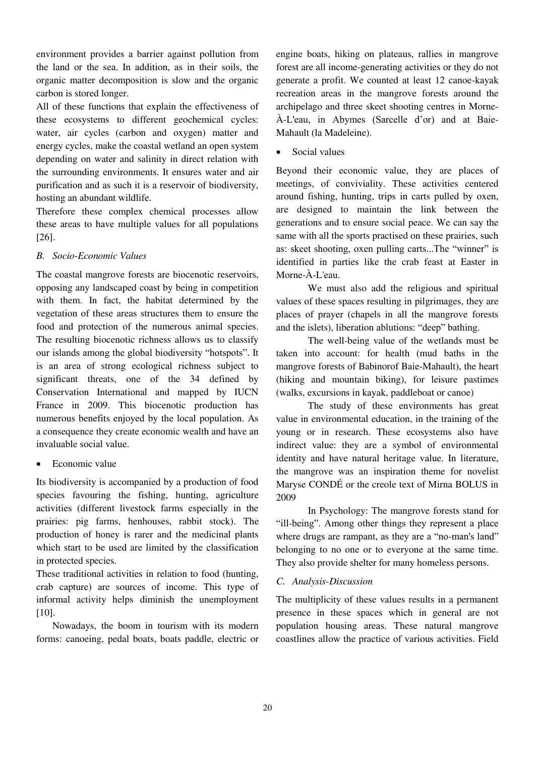environment provides a barrier against pollution from the land or the sea. In addition, as in their soils, the organic matter decomposition is slow and the organic carbon is stored longer.

All of these functions that explain the effectiveness of these ecosystems to different geochemical cycles: water, air cycles (carbon and oxygen) matter and energy cycles, make the coastal wetland an open system depending on water and salinity in direct relation with the surrounding environments. It ensures water and air purification and as such it is a reservoir of biodiversity, hosting an abundant wildlife.

Therefore these complex chemical processes allow these areas to have multiple values for all populations [26].

## *B. Socio-Economic Values*

The coastal mangrove forests are biocenotic reservoirs, opposing any landscaped coast by being in competition with them. In fact, the habitat determined by the vegetation of these areas structures them to ensure the food and protection of the numerous animal species. The resulting biocenotic richness allows us to classify our islands among the global biodiversity "hotspots". It is an area of strong ecological richness subject to significant threats, one of the 34 defined by Conservation International and mapped by IUCN France in 2009. This biocenotic production has numerous benefits enjoyed by the local population. As a consequence they create economic wealth and have an invaluable social value.

Economic value

Its biodiversity is accompanied by a production of food species favouring the fishing, hunting, agriculture activities (different livestock farms especially in the prairies: pig farms, henhouses, rabbit stock). The production of honey is rarer and the medicinal plants which start to be used are limited by the classification in protected species.

These traditional activities in relation to food (hunting, crab capture) are sources of income. This type of informal activity helps diminish the unemployment [10].

Nowadays, the boom in tourism with its modern forms: canoeing, pedal boats, boats paddle, electric or

engine boats, hiking on plateaus, rallies in mangrove forest are all income-generating activities or they do not generate a profit. We counted at least 12 canoe-kayak recreation areas in the mangrove forests around the archipelago and three skeet shooting centres in Morne-À-L'eau, in Abymes (Sarcelle d'or) and at Baie-Mahault (la Madeleine).

Social values

Beyond their economic value, they are places of meetings, of conviviality. These activities centered around fishing, hunting, trips in carts pulled by oxen, are designed to maintain the link between the generations and to ensure social peace. We can say the same with all the sports practised on these prairies, such as: skeet shooting, oxen pulling carts...The "winner" is identified in parties like the crab feast at Easter in Morne-À-L'eau.

We must also add the religious and spiritual values of these spaces resulting in pilgrimages, they are places of prayer (chapels in all the mangrove forests and the islets), liberation ablutions: "deep" bathing.

The well-being value of the wetlands must be taken into account: for health (mud baths in the mangrove forests of Babinorof Baie-Mahault), the heart (hiking and mountain biking), for leisure pastimes (walks, excursions in kayak, paddleboat or canoe)

The study of these environments has great value in environmental education, in the training of the young or in research. These ecosystems also have indirect value: they are a symbol of environmental identity and have natural heritage value. In literature, the mangrove was an inspiration theme for novelist Maryse CONDÉ or the creole text of Mirna BOLUS in 2009

In Psychology: The mangrove forests stand for "ill-being". Among other things they represent a place where drugs are rampant, as they are a "no-man's land" belonging to no one or to everyone at the same time. They also provide shelter for many homeless persons.

## *C. Analysis-Discussion*

The multiplicity of these values results in a permanent presence in these spaces which in general are not population housing areas. These natural mangrove coastlines allow the practice of various activities. Field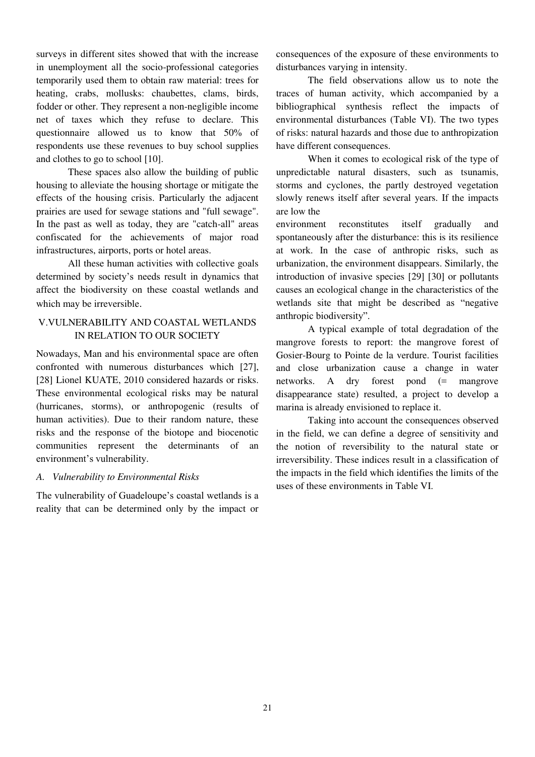surveys in different sites showed that with the increase in unemployment all the socio-professional categories temporarily used them to obtain raw material: trees for heating, crabs, mollusks: chaubettes, clams, birds, fodder or other. They represent a non-negligible income net of taxes which they refuse to declare. This questionnaire allowed us to know that 50% of respondents use these revenues to buy school supplies and clothes to go to school [10].

These spaces also allow the building of public housing to alleviate the housing shortage or mitigate the effects of the housing crisis. Particularly the adjacent prairies are used for sewage stations and "full sewage". In the past as well as today, they are "catch-all" areas confiscated for the achievements of major road infrastructures, airports, ports or hotel areas.

All these human activities with collective goals determined by society's needs result in dynamics that affect the biodiversity on these coastal wetlands and which may be irreversible.

## V.VULNERABILITY AND COASTAL WETLANDS IN RELATION TO OUR SOCIETY

Nowadays, Man and his environmental space are often confronted with numerous disturbances which [27], [28] Lionel KUATE, 2010 considered hazards or risks. These environmental ecological risks may be natural (hurricanes, storms), or anthropogenic (results of human activities). Due to their random nature, these risks and the response of the biotope and biocenotic communities represent the determinants of an environment's vulnerability.

## *A. Vulnerability to Environmental Risks*

The vulnerability of Guadeloupe's coastal wetlands is a reality that can be determined only by the impact or consequences of the exposure of these environments to disturbances varying in intensity.

The field observations allow us to note the traces of human activity, which accompanied by a bibliographical synthesis reflect the impacts of environmental disturbances (Table VI). The two types of risks: natural hazards and those due to anthropization have different consequences.

When it comes to ecological risk of the type of unpredictable natural disasters, such as tsunamis, storms and cyclones, the partly destroyed vegetation slowly renews itself after several years. If the impacts are low the

environment reconstitutes itself gradually and spontaneously after the disturbance: this is its resilience at work. In the case of anthropic risks, such as urbanization, the environment disappears. Similarly, the introduction of invasive species [29] [30] or pollutants causes an ecological change in the characteristics of the wetlands site that might be described as "negative anthropic biodiversity".

A typical example of total degradation of the mangrove forests to report: the mangrove forest of Gosier-Bourg to Pointe de la verdure. Tourist facilities and close urbanization cause a change in water networks. A dry forest pond (= mangrove disappearance state) resulted, a project to develop a marina is already envisioned to replace it.

Taking into account the consequences observed in the field, we can define a degree of sensitivity and the notion of reversibility to the natural state or irreversibility. These indices result in a classification of the impacts in the field which identifies the limits of the uses of these environments in Table VI.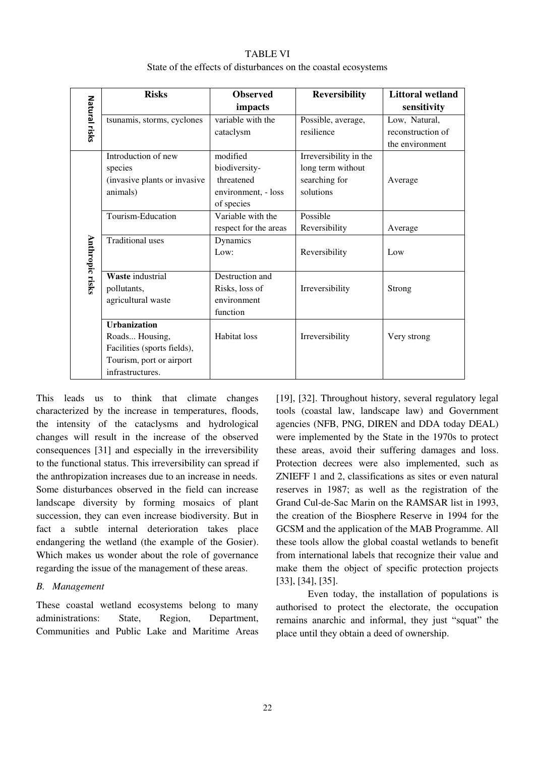#### TABLE VI

|                        |                              |                       | State of the effects of disturbances on the coastal ecosystems |                         |  |
|------------------------|------------------------------|-----------------------|----------------------------------------------------------------|-------------------------|--|
|                        | <b>Risks</b>                 | <b>Observed</b>       | <b>Reversibility</b>                                           | <b>Littoral wetland</b> |  |
| Natural risks          |                              | impacts               |                                                                | sensitivity             |  |
|                        | tsunamis, storms, cyclones   | variable with the     | Possible, average,                                             | Low, Natural,           |  |
|                        |                              | cataclysm             | resilience                                                     | reconstruction of       |  |
|                        |                              |                       |                                                                | the environment         |  |
|                        | Introduction of new          | modified              | Irreversibility in the                                         |                         |  |
|                        | species                      | biodiversity-         | long term without                                              |                         |  |
|                        | (invasive plants or invasive | threatened            | searching for                                                  | Average                 |  |
|                        | animals)                     | environment, - loss   | solutions                                                      |                         |  |
|                        |                              | of species            |                                                                |                         |  |
|                        | Tourism-Education            | Variable with the     | Possible                                                       |                         |  |
|                        |                              | respect for the areas | Reversibility                                                  | Average                 |  |
|                        | <b>Traditional uses</b>      | Dynamics              |                                                                |                         |  |
|                        |                              | Low:                  | Reversibility                                                  | Low                     |  |
|                        |                              |                       |                                                                |                         |  |
| <b>Anthropic risks</b> | Waste industrial             | Destruction and       |                                                                |                         |  |
|                        | pollutants,                  | Risks, loss of        | Irreversibility                                                | Strong                  |  |
|                        | agricultural waste           | environment           |                                                                |                         |  |

Habitat loss Irreversibility Very strong

function

of the effects of disturbances on the

This leads us to think that climate changes characterized by the increase in temperatures, floods, the intensity of the cataclysms and hydrological changes will result in the increase of the observed consequences [31] and especially in the irreversibility to the functional status. This irreversibility can spread if the anthropization increases due to an increase in needs. Some disturbances observed in the field can increase landscape diversity by forming mosaics of plant succession, they can even increase biodiversity. But in fact a subtle internal deterioration takes place endangering the wetland (the example of the Gosier). Which makes us wonder about the role of governance regarding the issue of the management of these areas.

**Urbanization**  Roads... Housing, Facilities (sports fields), Tourism, port or airport

infrastructures.

#### *B. Management*

These coastal wetland ecosystems belong to many administrations: State, Region, Department, Communities and Public Lake and Maritime Areas

[19], [32]. Throughout history, several regulatory legal tools (coastal law, landscape law) and Government agencies (NFB, PNG, DIREN and DDA today DEAL) were implemented by the State in the 1970s to protect these areas, avoid their suffering damages and loss. Protection decrees were also implemented, such as ZNIEFF 1 and 2, classifications as sites or even natural reserves in 1987; as well as the registration of the Grand Cul-de-Sac Marin on the RAMSAR list in 1993, the creation of the Biosphere Reserve in 1994 for the GCSM and the application of the MAB Programme. All these tools allow the global coastal wetlands to benefit from international labels that recognize their value and make them the object of specific protection projects [33], [34], [35].

Even today, the installation of populations is authorised to protect the electorate, the occupation remains anarchic and informal, they just "squat" the place until they obtain a deed of ownership.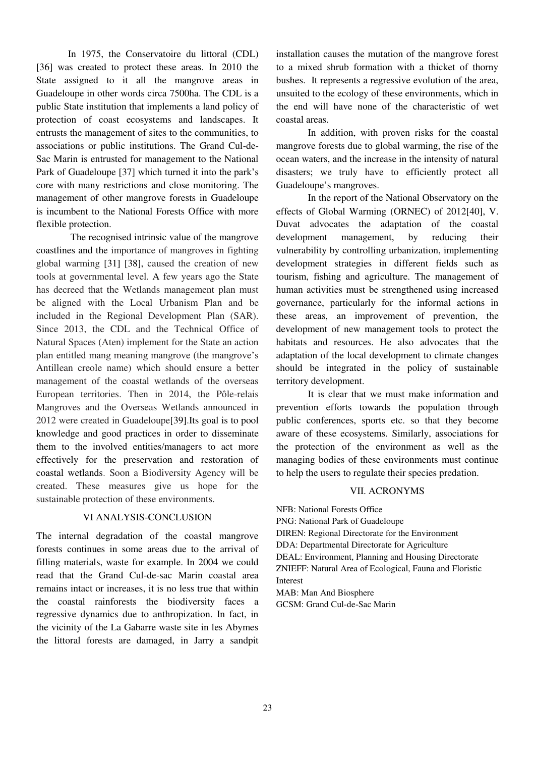In 1975, the Conservatoire du littoral (CDL) [36] was created to protect these areas. In 2010 the State assigned to it all the mangrove areas in Guadeloupe in other words circa 7500ha. The CDL is a public State institution that implements a land policy of protection of coast ecosystems and landscapes. It entrusts the management of sites to the communities, to associations or public institutions. The Grand Cul-de-Sac Marin is entrusted for management to the National Park of Guadeloupe [37] which turned it into the park's core with many restrictions and close monitoring. The management of other mangrove forests in Guadeloupe is incumbent to the National Forests Office with more flexible protection.

 The recognised intrinsic value of the mangrove coastlines and the importance of mangroves in fighting global warming [31] [38], caused the creation of new tools at governmental level. A few years ago the State has decreed that the Wetlands management plan must be aligned with the Local Urbanism Plan and be included in the Regional Development Plan (SAR). Since 2013, the CDL and the Technical Office of Natural Spaces (Aten) implement for the State an action plan entitled mang meaning mangrove (the mangrove's Antillean creole name) which should ensure a better management of the coastal wetlands of the overseas European territories. Then in 2014, the Pôle-relais Mangroves and the Overseas Wetlands announced in 2012 were created in Guadeloupe[39].Its goal is to pool knowledge and good practices in order to disseminate them to the involved entities/managers to act more effectively for the preservation and restoration of coastal wetlands. Soon a Biodiversity Agency will be created. These measures give us hope for the sustainable protection of these environments.

## VI ANALYSIS-CONCLUSION

The internal degradation of the coastal mangrove forests continues in some areas due to the arrival of filling materials, waste for example. In 2004 we could read that the Grand Cul-de-sac Marin coastal area remains intact or increases, it is no less true that within the coastal rainforests the biodiversity faces a regressive dynamics due to anthropization. In fact, in the vicinity of the La Gabarre waste site in les Abymes the littoral forests are damaged, in Jarry a sandpit installation causes the mutation of the mangrove forest to a mixed shrub formation with a thicket of thorny bushes. It represents a regressive evolution of the area, unsuited to the ecology of these environments, which in the end will have none of the characteristic of wet coastal areas.

In addition, with proven risks for the coastal mangrove forests due to global warming, the rise of the ocean waters, and the increase in the intensity of natural disasters; we truly have to efficiently protect all Guadeloupe's mangroves.

In the report of the National Observatory on the effects of Global Warming (ORNEC) of 2012[40], V. Duvat advocates the adaptation of the coastal development management, by reducing their vulnerability by controlling urbanization, implementing development strategies in different fields such as tourism, fishing and agriculture. The management of human activities must be strengthened using increased governance, particularly for the informal actions in these areas, an improvement of prevention, the development of new management tools to protect the habitats and resources. He also advocates that the adaptation of the local development to climate changes should be integrated in the policy of sustainable territory development.

It is clear that we must make information and prevention efforts towards the population through public conferences, sports etc. so that they become aware of these ecosystems. Similarly, associations for the protection of the environment as well as the managing bodies of these environments must continue to help the users to regulate their species predation.

## VII. ACRONYMS

NFB: National Forests Office PNG: National Park of Guadeloupe DIREN: Regional Directorate for the Environment DDA: Departmental Directorate for Agriculture DEAL: Environment, Planning and Housing Directorate ZNIEFF: Natural Area of Ecological, Fauna and Floristic Interest MAB: Man And Biosphere

GCSM: Grand Cul-de-Sac Marin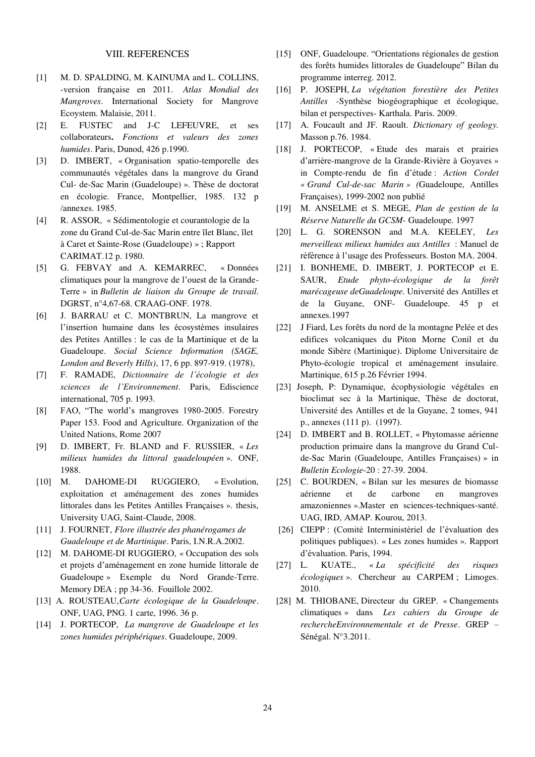#### VIII. REFERENCES

- [1] M. D. SPALDING, M. KAINUMA and L. COLLINS, -version française en 2011. *Atlas Mondial des Mangroves*. International Society for Mangrove Ecoystem. Malaisie, 2011.
- [2] E. FUSTEC and J-C LEFEUVRE, et ses collaborateurs**.** *Fonctions et valeurs des zones humides*. Paris, Dunod, 426 p.1990.
- [3] D. IMBERT, « Organisation spatio-temporelle des communautés végétales dans la mangrove du Grand Cul- de-Sac Marin (Guadeloupe) ». Thèse de doctorat en écologie. France, Montpellier, 1985. 132 p /annexes. 1985.
- [4] R. ASSOR, « Sédimentologie et courantologie de la zone du Grand Cul-de-Sac Marin entre îlet Blanc, îlet à Caret et Sainte-Rose (Guadeloupe) » ; Rapport CARIMAT.12 p. 1980.
- [5] G. FEBVAY and A. KEMARREC, « Données climatiques pour la mangrove de l'ouest de la Grande-Terre » in *Bulletin de liaison du Groupe de travail*. DGRST, n°4,67-68. CRAAG-ONF. 1978.
- [6] J. BARRAU et C. MONTBRUN, La mangrove et l'insertion humaine dans les écosystèmes insulaires des Petites Antilles : le cas de la Martinique et de la Guadeloupe. *Social Science Information (SAGE, London and Beverly Hills)*, 17, 6 pp. 897-919. (1978),
- [7] F. RAMADE, *Dictionnaire de l'écologie et des sciences de l'Environnement*. Paris, Ediscience international, 705 p. 1993.
- [8] FAO, "The world's mangroves 1980-2005. Forestry Paper 153. Food and Agriculture. Organization of the United Nations, Rome 2007
- [9] D. IMBERT, Fr. BLAND and F. RUSSIER, « *Les milieux humides du littoral guadeloupéen* ». ONF, 1988.
- [10] M. DAHOME-DI RUGGIERO, « Evolution, exploitation et aménagement des zones humides littorales dans les Petites Antilles Françaises ». thesis, University UAG, Saint-Claude, 2008.
- [11] J. FOURNET, *Flore illustrée des phanérogames de Guadeloupe et de Martinique*. Paris, I.N.R.A.2002.
- [12] M. DAHOME-DI RUGGIERO, « Occupation des sols et projets d'aménagement en zone humide littorale de Guadeloupe » Exemple du Nord Grande-Terre. Memory DEA ; pp 34-36. Fouillole 2002.
- [13] A. ROUSTEAU,*Carte écologique de la Guadeloupe*. ONF, UAG, PNG. 1 carte, 1996. 36 p.
- [14] J. PORTECOP, *La mangrove de Guadeloupe et les zones humides périphériques*. Guadeloupe, 2009.
- [15] ONF, Guadeloupe. "Orientations régionales de gestion des forêts humides littorales de Guadeloupe" Bilan du programme interreg. 2012.
- [16] P. JOSEPH, *La végétation forestière des Petites Antilles* -Synthèse biogéographique et écologique, bilan et perspectives- Karthala. Paris. 2009.
- [17] A. Foucault and JF. Raoult. *Dictionary of geology.* Masson p.76. 1984.
- [18] J. PORTECOP, « Etude des marais et prairies d'arrière-mangrove de la Grande-Rivière à Goyaves » in Compte-rendu de fin d'étude : *Action Cordet « Grand Cul-de-sac Marin » (*Guadeloupe, Antilles Françaises), 1999-2002 non publié
- [19] M. ANSELME et S. MEGE, *Plan de gestion de la Réserve Naturelle du GCSM*- Guadeloupe. 1997
- [20] L. G. SORENSON and M.A. KEELEY, *Les merveilleux milieux humides aux Antilles* : Manuel de référence à l'usage des Professeurs. Boston MA. 2004.
- [21] I. BONHEME, D. IMBERT, J. PORTECOP et E. SAUR, *Etude phyto-écologique de la forêt marécageuse deGuadeloupe*. Université des Antilles et de la Guyane, ONF- Guadeloupe. 45 p et annexes.1997
- [22] J Fiard, Les forêts du nord de la montagne Pelée et des edifices volcaniques du Piton Morne Conil et du monde Sibère (Martinique). Diplome Universitaire de Phyto-écologie tropical et aménagement insulaire. Martinique, 615 p.26 Février 1994.
- [23] Joseph, P: Dynamique, écophysiologie végétales en bioclimat sec à la Martinique, Thèse de doctorat, Université des Antilles et de la Guyane, 2 tomes, 941 p., annexes (111 p). (1997).
- [24] D. IMBERT and B. ROLLET, « Phytomasse aérienne production primaire dans la mangrove du Grand Culde-Sac Marin (Guadeloupe, Antilles Françaises) » in *Bulletin Ecologie*-20 : 27-39. 2004.
- [25] C. BOURDEN, « Bilan sur les mesures de biomasse aérienne et de carbone en mangroves amazoniennes ».Master en sciences-techniques-santé. UAG, IRD, AMAP. Kourou, 2013.
- [26] CIEPP : (Comité Interministériel de l'évaluation des politiques publiques). « Les zones humides »*.* Rapport d'évaluation. Paris, 1994.
- [27] L. KUATE., « *La spécificité des risques écologiques* ». Chercheur au CARPEM ; Limoges. 2010.
- [28] M. THIOBANE, Directeur du GREP. « Changements climatiques » dans *Les cahiers du Groupe de rechercheEnvironnementale et de Presse*. GREP – Sénégal. N°3.2011.